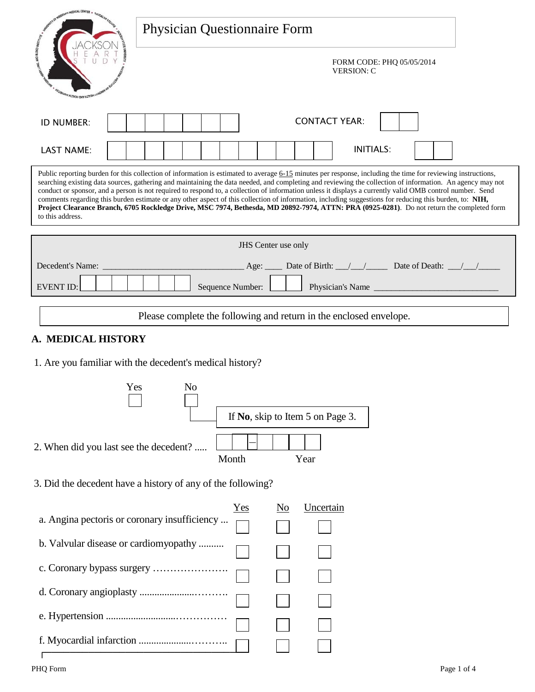| <b><i>OF MEDICAL CENTER</i></b>                                                                                                                                                                                                                                                                                                                                                                                                                                                                                                                                                                                                                                                                                                                                                                                     |  |  |  |  |
|---------------------------------------------------------------------------------------------------------------------------------------------------------------------------------------------------------------------------------------------------------------------------------------------------------------------------------------------------------------------------------------------------------------------------------------------------------------------------------------------------------------------------------------------------------------------------------------------------------------------------------------------------------------------------------------------------------------------------------------------------------------------------------------------------------------------|--|--|--|--|
| <b>Physician Questionnaire Form</b>                                                                                                                                                                                                                                                                                                                                                                                                                                                                                                                                                                                                                                                                                                                                                                                 |  |  |  |  |
| FORM CODE: PHQ 05/05/2014<br><b>VERSION: C</b><br><b><i>REGINATIO HETERIN ON HETA <sup>DI</sup></i></b>                                                                                                                                                                                                                                                                                                                                                                                                                                                                                                                                                                                                                                                                                                             |  |  |  |  |
| <b>CONTACT YEAR:</b><br>ID NUMBER:                                                                                                                                                                                                                                                                                                                                                                                                                                                                                                                                                                                                                                                                                                                                                                                  |  |  |  |  |
| <b>INITIALS:</b><br><b>LAST NAME:</b>                                                                                                                                                                                                                                                                                                                                                                                                                                                                                                                                                                                                                                                                                                                                                                               |  |  |  |  |
| Public reporting burden for this collection of information is estimated to average 6-15 minutes per response, including the time for reviewing instructions,<br>searching existing data sources, gathering and maintaining the data needed, and completing and reviewing the collection of information. An agency may not<br>conduct or sponsor, and a person is not required to respond to, a collection of information unless it displays a currently valid OMB control number. Send<br>comments regarding this burden estimate or any other aspect of this collection of information, including suggestions for reducing this burden, to: NIH,<br>Project Clearance Branch, 6705 Rockledge Drive, MSC 7974, Bethesda, MD 20892-7974, ATTN: PRA (0925-0281). Do not return the completed form<br>to this address. |  |  |  |  |
| JHS Center use only                                                                                                                                                                                                                                                                                                                                                                                                                                                                                                                                                                                                                                                                                                                                                                                                 |  |  |  |  |
| Age: $\frac{1}{\sqrt{2}}$ Date of Birth: $\frac{1}{\sqrt{2}}$ Date of Death: $\frac{1}{\sqrt{2}}$<br>Decedent's Name:                                                                                                                                                                                                                                                                                                                                                                                                                                                                                                                                                                                                                                                                                               |  |  |  |  |
| Physician's Name<br><b>EVENT ID:</b><br>Sequence Number:                                                                                                                                                                                                                                                                                                                                                                                                                                                                                                                                                                                                                                                                                                                                                            |  |  |  |  |
|                                                                                                                                                                                                                                                                                                                                                                                                                                                                                                                                                                                                                                                                                                                                                                                                                     |  |  |  |  |
| Please complete the following and return in the enclosed envelope.                                                                                                                                                                                                                                                                                                                                                                                                                                                                                                                                                                                                                                                                                                                                                  |  |  |  |  |
| A. MEDICAL HISTORY                                                                                                                                                                                                                                                                                                                                                                                                                                                                                                                                                                                                                                                                                                                                                                                                  |  |  |  |  |
| 1. Are you familiar with the decedent's medical history?                                                                                                                                                                                                                                                                                                                                                                                                                                                                                                                                                                                                                                                                                                                                                            |  |  |  |  |
| Yes No                                                                                                                                                                                                                                                                                                                                                                                                                                                                                                                                                                                                                                                                                                                                                                                                              |  |  |  |  |
| If No, skip to Item 5 on Page 3.                                                                                                                                                                                                                                                                                                                                                                                                                                                                                                                                                                                                                                                                                                                                                                                    |  |  |  |  |
| 2. When did you last see the decedent?<br>Month<br>Year                                                                                                                                                                                                                                                                                                                                                                                                                                                                                                                                                                                                                                                                                                                                                             |  |  |  |  |
| 3. Did the decedent have a history of any of the following?                                                                                                                                                                                                                                                                                                                                                                                                                                                                                                                                                                                                                                                                                                                                                         |  |  |  |  |
| Uncertain<br>$Yes$<br>No                                                                                                                                                                                                                                                                                                                                                                                                                                                                                                                                                                                                                                                                                                                                                                                            |  |  |  |  |
| a. Angina pectoris or coronary insufficiency                                                                                                                                                                                                                                                                                                                                                                                                                                                                                                                                                                                                                                                                                                                                                                        |  |  |  |  |
| b. Valvular disease or cardiomyopathy                                                                                                                                                                                                                                                                                                                                                                                                                                                                                                                                                                                                                                                                                                                                                                               |  |  |  |  |
|                                                                                                                                                                                                                                                                                                                                                                                                                                                                                                                                                                                                                                                                                                                                                                                                                     |  |  |  |  |
|                                                                                                                                                                                                                                                                                                                                                                                                                                                                                                                                                                                                                                                                                                                                                                                                                     |  |  |  |  |
|                                                                                                                                                                                                                                                                                                                                                                                                                                                                                                                                                                                                                                                                                                                                                                                                                     |  |  |  |  |

 $\Box$ 

 $\Box$ 

 f. Myocardial infarction .....................……….. ┌───────────────────────────────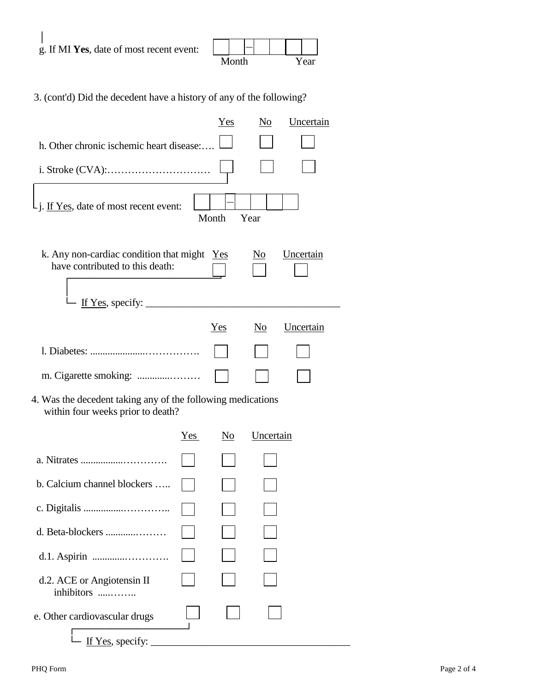| g. If MI Yes, date of most recent event: |       |  |  |      |
|------------------------------------------|-------|--|--|------|
|                                          | Month |  |  | Year |

3. (cont'd) Did the decedent have a history of any of the following?

|                                                                                                  |     | Yes   | $N_{Q}$        | Uncertain |
|--------------------------------------------------------------------------------------------------|-----|-------|----------------|-----------|
| h. Other chronic ischemic heart disease:                                                         |     |       |                |           |
|                                                                                                  |     |       |                |           |
| j. If Yes, date of most recent event:                                                            |     | Month | Year           |           |
| k. Any non-cardiac condition that might $Yes$<br>have contributed to this death:                 |     |       | No             | Uncertain |
| If Yes, specify: $\frac{1}{2}$                                                                   |     |       |                |           |
|                                                                                                  |     | Yes   | N <sub>0</sub> | Uncertain |
|                                                                                                  |     |       |                |           |
| m. Cigarette smoking:                                                                            |     |       |                |           |
| 4. Was the decedent taking any of the following medications<br>within four weeks prior to death? |     |       |                |           |
|                                                                                                  | Yes | No    | Uncertain      |           |
|                                                                                                  |     |       |                |           |
| b. Calcium channel blockers                                                                      |     |       |                |           |
|                                                                                                  |     |       |                |           |
| d. Beta-blockers                                                                                 |     |       |                |           |
|                                                                                                  |     |       |                |           |
| d.2. ACE or Angiotensin II<br>inhibitors                                                         |     |       |                |           |
| e. Other cardiovascular drugs                                                                    |     |       |                |           |
| If Yes, specify:                                                                                 |     |       |                |           |

 $\overline{\phantom{a}}$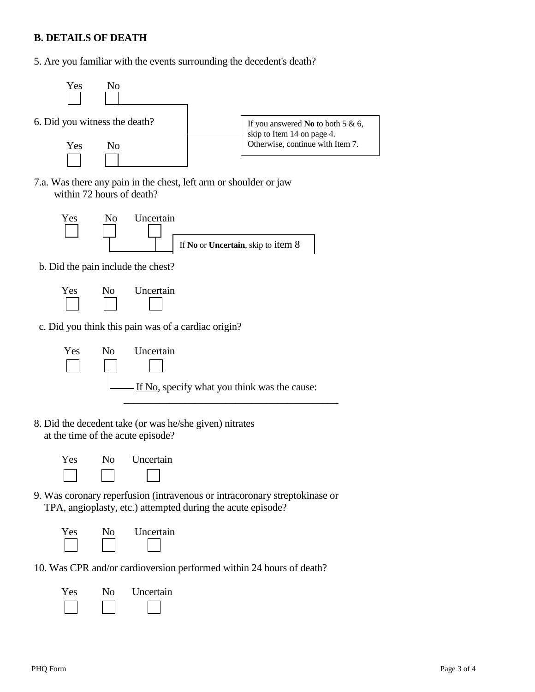## **B. DETAILS OF DEATH**

5. Are you familiar with the events surrounding the decedent's death?



7.a. Was there any pain in the chest, left arm or shoulder or jaw within 72 hours of death?



b. Did the pain include the chest?



c. Did you think this pain was of a cardiac origin?



8. Did the decedent take (or was he/she given) nitrates at the time of the acute episode?



9. Was coronary reperfusion (intravenous or intracoronary streptokinase or TPA, angioplasty, etc.) attempted during the acute episode?



10. Was CPR and/or cardioversion performed within 24 hours of death?